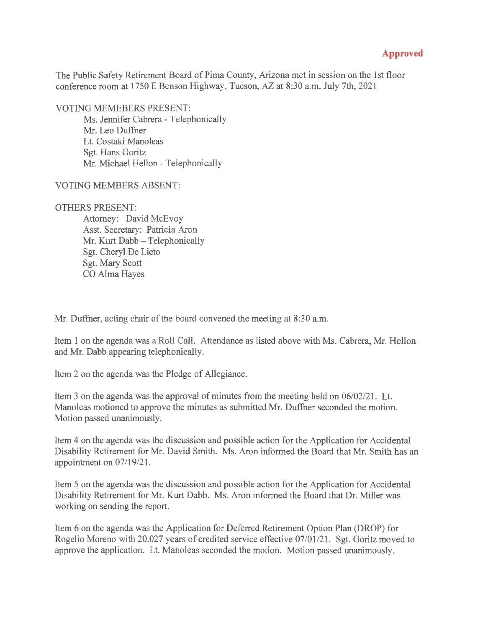## **Approved**

The Public Safety Retirement Board of Pima County, Arizona met in session on the 1st floor conference room at 1750 E Benson Highway, Tucson, AZ at 8:30 a.m. July 7th, 2021

VOTING MEMEBERS PRESENT:

Ms. Jennifer Cabrera - Telephonically Mr. Leo Duffner Lt. Costaki Manoleas Sgt. Hans Goritz Mr. Michael Hellon - Telephonically

VOTING MEMBERS ABSENT:

## OTHERS PRESENT:

Attorney: David McEvoy Asst. Secretary: Patricia Aron Mr. Kurt Dabb - Telephonically Sgt. Cheryl De Lieto Sgt. Mary Scott CO Alma Hayes

Mr. Duffner, acting chair of the board convened the meeting at 8:30 a.m.

Item 1 on the agenda was a Roll Call. Attendance as listed above with Ms. Cabrera, Mr. Hellon and Mr. Dabb appearing telephonically.

Item 2 on the agenda was the Pledge of Allegiance.

Item 3 on the agenda was the approval of minutes from the meeting held on 06/02/21. Lt. Manoleas motioned to approve the minutes as submitted Mr. Duffner seconded the motion. Motion passed unanimously.

Item 4 on the agenda was the discussion and possible action for the Application for Accidental Disability Retirement for Mr. David Smith. Ms. Aron informed the Board that Mr. Smith has an appointment on  $07/19/21$ .

Item 5 on the agenda was the discussion and possible action for the Application for Accidental Disability Retirement for Mr. Kurt Dabb. Ms. Aron informed the Board that Dr. Miller was working on sending the report.

Item 6 on the agenda was the Application for Deferred Retirement Option Plan (DROP) for Rogelio Moreno with 20.027 years of credited service effective 07/01/21. Sgt. Goritz moved to approve the application. Lt. Manoleas seconded the motion. Motion passed unanimously.